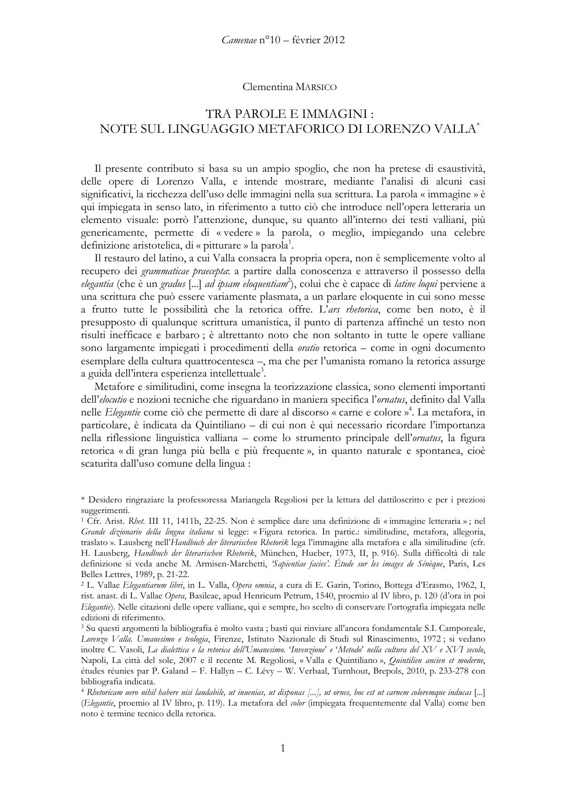## Clementina MARSICO

## TRA PAROLE E IMMAGINI: NOTE SUL LINGUAGGIO METAFORICO DI LORENZO VALLA<sup>\*</sup>

Il presente contributo si basa su un ampio spoglio, che non ha pretese di esaustività, delle opere di Lorenzo Valla, e intende mostrare, mediante l'analisi di alcuni casi significativi, la ricchezza dell'uso delle immagini nella sua scrittura. La parola « immagine » è qui impiegata in senso lato, in riferimento a tutto ciò che introduce nell'opera letteraria un elemento visuale: porrò l'attenzione, dunque, su quanto all'interno dei testi valliani, più genericamente, permette di «vedere» la parola, o meglio, impiegando una celebre definizione aristotelica, di « pitturare » la parola<sup>1</sup>.

Il restauro del latino, a cui Valla consacra la propria opera, non è semplicemente volto al recupero dei grammaticae praecepta: a partire dalla conoscenza e attraverso il possesso della elegantia (che è un gradus [...] ad ipsam eloquentiam<sup>2</sup>), colui che è capace di *latine loqui* perviene a una scrittura che può essere variamente plasmata, a un parlare eloquente in cui sono messe a frutto tutte le possibilità che la retorica offre. L'ars rhetorica, come ben noto, è il presupposto di qualunque scrittura umanistica, il punto di partenza affinché un testo non risulti inefficace e barbaro; è altrettanto noto che non soltanto in tutte le opere valliane sono largamente impiegati i procedimenti della *oratio* retorica – come in ogni documento esemplare della cultura quattrocentesca –, ma che per l'umanista romano la retorica assurge a guida dell'intera esperienza intellettuale<sup>3</sup>.

Metafore e similitudini, come insegna la teorizzazione classica, sono elementi importanti dell'*elocutio* e nozioni tecniche che riguardano in maniera specifica l'*ornatus*, definito dal Valla nelle *Elegantie* come ciò che permette di dare al discorso « carne e colore »<sup>4</sup>. La metafora, in particolare, è indicata da Quintiliano - di cui non è qui necessario ricordare l'importanza nella riflessione linguistica valliana - come lo strumento principale dell'ornatus, la figura retorica « di gran lunga più bella e più frequente », in quanto naturale e spontanea, cioè scaturita dall'uso comune della lingua:

<sup>\*</sup> Desidero ringraziare la professoressa Mariangela Regoliosi per la lettura del dattiloscritto e per i preziosi suggerimenti.

<sup>&</sup>lt;sup>1</sup> Cfr. Arist. Rhet. III 11, 1411b, 22-25. Non è semplice dare una definizione di «immagine letteraria»; nel Grande dizionario della lingua italiana si legge: «Figura retorica. In partic.: similitudine, metafora, allegoria, traslato ». Lausberg nell'Handbuch der literarischen Rhetorik lega l'immagine alla metafora e alla similitudine (cfr. H. Lausberg, Handbuch der literarischen Rhetorik, München, Hueber, 1973, II, p. 916). Sulla difficoltà di tale definizione si veda anche M. Armisen-Marchetti, *Sapientiae facies'*. Étude sur les images de Sénèque, Paris, Les Belles Lettres, 1989, p. 21-22.

<sup>&</sup>lt;sup>2</sup> L. Vallae Elegantiarum libri, in L. Valla, Opera omnia, a cura di E. Garin, Torino, Bottega d'Erasmo, 1962, I, rist. anast. di L. Vallae Opera, Basileae, apud Henricum Petrum, 1540, proemio al IV libro, p. 120 (d'ora in poi Elegantie). Nelle citazioni delle opere valliane, qui e sempre, ho scelto di conservare l'ortografia impiegata nelle edizioni di riferimento.

<sup>&</sup>lt;sup>3</sup> Su questi argomenti la bibliografia è molto vasta ; basti qui rinviare all'ancora fondamentale S.I. Camporeale, Lorenzo Valla. Umanesimo e teologia, Firenze, Istituto Nazionale di Studi sul Rinascimento, 1972; si vedano inoltre C. Vasoli, La dialettica e la retorica dell'Umanesimo. 'Invenzione' e 'Metodo' nella cultura del XV e XVI secolo, Napoli, La città del sole, 2007 e il recente M. Regoliosi, « Valla e Quintiliano », Quintilien ancien et moderne, études réunies par P. Galand - F. Hallyn - C. Lévy - W. Verbaal, Turnhout, Brepols, 2010, p. 233-278 con bibliografia indicata.

<sup>&</sup>lt;sup>4</sup> Rhetoricam uero nihil habere nisi laudabile, ut inuenias, ut disponas [...], ut ornes, hoc est ut carnem coloremque inducas [...] (Elegantie, proemio al IV libro, p. 119). La metafora del color (impiegata frequentemente dal Valla) come ben noto è termine tecnico della retorica.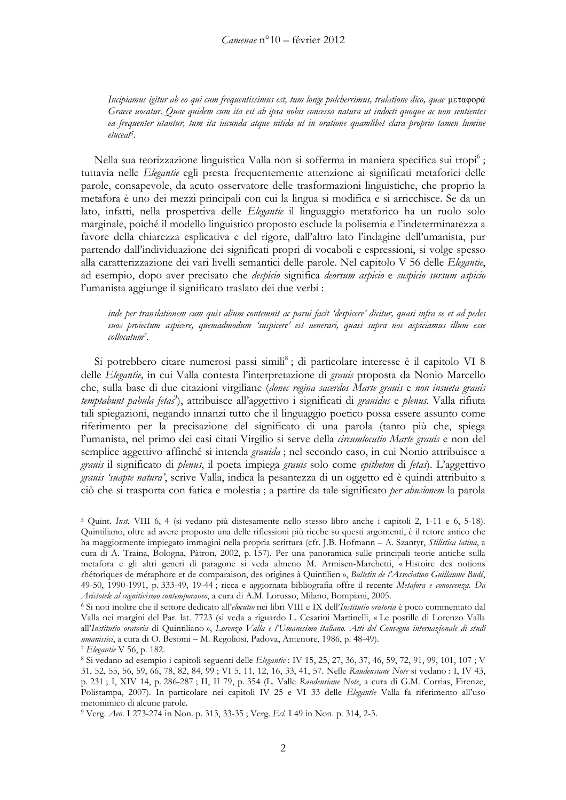Incipiamus igitur ab eo qui cum frequentissimus est, tum longe pulcherrimus, tralatione dico, quae μεταφορά Graece uocatur. Quae quidem cum ita est ab ipsa nobis concessa natura ut indocti quoque ac non sentientes ea frequenter utantur, tum ita iucunda atque nitida ut in oratione quamlibet clara proprio tamen lumine eluceat<sup>5</sup>.

Nella sua teorizzazione linguistica Valla non si sofferma in maniera specifica sui tropi<sup>6</sup>; tuttavia nelle Elegantie egli presta frequentemente attenzione ai significati metaforici delle parole, consapevole, da acuto osservatore delle trasformazioni linguistiche, che proprio la metafora è uno dei mezzi principali con cui la lingua si modifica e si arricchisce. Se da un lato, infatti, nella prospettiva delle Elegantie il linguaggio metaforico ha un ruolo solo marginale, poiché il modello linguistico proposto esclude la polisemia e l'indeterminatezza a favore della chiarezza esplicativa e del rigore, dall'altro lato l'indagine dell'umanista, pur partendo dall'individuazione dei significati propri di vocaboli e espressioni, si volge spesso alla caratterizzazione dei vari livelli semantici delle parole. Nel capitolo V 56 delle Elegantie, ad esempio, dopo aver precisato che despicio significa deorsum aspicio e suspicio sursum aspicio l'umanista aggiunge il significato traslato dei due verbi :

inde per translationem cum quis alium contemnit ac parui facit 'despicere' dicitur, quasi infra se et ad pedes suos proiectum aspicere, quemadmodum 'suspicere' est uenerari, quasi supra nos aspiciamus illum esse collocatum<sup>7</sup>.

Si potrebbero citare numerosi passi simili<sup>8</sup>; di particolare interesse è il capitolo VI 8 delle Elegantie, in cui Valla contesta l'interpretazione di grauis proposta da Nonio Marcello che, sulla base di due citazioni virgiliane (donec regina sacerdos Marte grauis e non insueta grauis temptabunt pabula fetas<sup>9</sup>), attribuisce all'aggettivo i significati di grauidus e plenus. Valla rifiuta tali spiegazioni, negando innanzi tutto che il linguaggio poetico possa essere assunto come riferimento per la precisazione del significato di una parola (tanto più che, spiega l'umanista, nel primo dei casi citati Virgilio si serve della circumlocutio Marte grauis e non del semplice aggettivo affinché si intenda granida; nel secondo caso, in cui Nonio attribuisce a grauis il significato di plenus, il poeta impiega grauis solo come epitheton di fetas). L'aggettivo grauis 'suapte natura', scrive Valla, indica la pesantezza di un oggetto ed è quindi attribuito a ciò che si trasporta con fatica e molestia; a partire da tale significato per abusionem la parola

<sup>&</sup>lt;sup>5</sup> Quint. Inst. VIII 6, 4 (si vedano più distesamente nello stesso libro anche i capitoli 2, 1-11 e 6, 5-18). Quintiliano, oltre ad avere proposto una delle riflessioni più ricche su questi argomenti, è il retore antico che ha maggiormente impiegato immagini nella propria scrittura (cfr. J.B. Hofmann - A. Szantyr, Stilistica latina, a cura di A. Traina, Bologna, Pàtron, 2002, p. 157). Per una panoramica sulle principali teorie antiche sulla metafora e gli altri generi di paragone si veda almeno M. Armisen-Marchetti, « Histoire des notions rhétoriques de métaphore et de comparaison, des origines à Quintilien », Bulletin de l'Association Guillaume Budé, 49-50, 1990-1991, p. 333-49, 19-44; ricca e aggiornata bibliografia offre il recente Metafora e conoscenza. Da Aristotele al cognitivismo contemporaneo, a cura di A.M. Lorusso, Milano, Bompiani, 2005.

<sup>&</sup>lt;sup>6</sup> Si noti inoltre che il settore dedicato all'elocutio nei libri VIII e IX dell'Institutio oratoria è poco commentato dal Valla nei margini del Par. lat. 7723 (si veda a riguardo L. Cesarini Martinelli, « Le postille di Lorenzo Valla all'Institutio oratoria di Quintiliano », Lorenzo Valla e l'Umanesimo italiano. Atti del Convegno internazionale di studi umanistici, a cura di O. Besomi - M. Regoliosi, Padova, Antenore, 1986, p. 48-49).

<sup>&</sup>lt;sup>7</sup> Elegantie V 56, p. 182.

<sup>&</sup>lt;sup>8</sup> Si vedano ad esempio i capitoli seguenti delle *Elegantie* : IV 15, 25, 27, 36, 37, 46, 59, 72, 91, 99, 101, 107; V 31, 52, 55, 56, 59, 66, 78, 82, 84, 99; VI 5, 11, 12, 16, 33, 41, 57. Nelle Raudensiane Note si vedano : I, IV 43, p. 231; I, XIV 14, p. 286-287; II, II 79, p. 354 (L. Valle Raudensiane Note, a cura di G.M. Corrias, Firenze, Polistampa, 2007). In particolare nei capitoli IV 25 e VI 33 delle Elegantie Valla fa riferimento all'uso metonimico di alcune parole.

<sup>&</sup>lt;sup>9</sup> Verg. Aen. I 273-274 in Non. p. 313, 33-35; Verg. Ecl. I 49 in Non. p. 314, 2-3.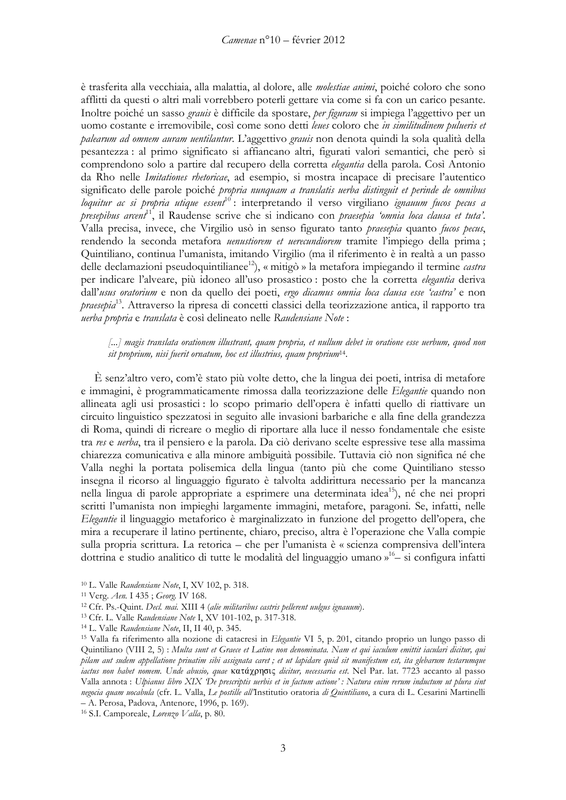è trasferita alla vecchiaia, alla malattia, al dolore, alle *molestiae animi*, poiché coloro che sono afflitti da questi o altri mali vorrebbero poterli gettare via come si fa con un carico pesante. Inoltre poiché un sasso granis è difficile da spostare, per figuram si impiega l'aggettivo per un uomo costante e irremovibile, così come sono detti leues coloro che in similitudinem pulueris et palearum ad omnem auram uentilantur. L'aggettivo grauis non denota quindi la sola qualità della pesantezza: al primo significato si affiancano altri, figurati valori semantici, che però si comprendono solo a partire dal recupero della corretta elegantia della parola. Così Antonio da Rho nelle Imitationes rhetoricae, ad esempio, si mostra incapace di precisare l'autentico significato delle parole poiché propria nunquam a translatis uerba distinguit et perinde de omnibus loquitur ac si propria utique essent<sup>10</sup>: interpretando il verso virgiliano ignauum fucos pecus a presepibus arcent<sup>11</sup>, il Raudense scrive che si indicano con *praesepia 'omnia loca clausa et tuta'*. Valla precisa, invece, che Virgilio usò in senso figurato tanto *praesepia* quanto fucos pecus, rendendo la seconda metafora *uenustiorem et uerecundiorem* tramite l'impiego della prima; Quintiliano, continua l'umanista, imitando Virgilio (ma il riferimento è in realtà a un passo delle declamazioni pseudoquintilianee<sup>12</sup>), « mitigò » la metafora impiegando il termine *castra* per indicare l'alveare, più idoneo all'uso prosastico : posto che la corretta elegantia deriva dall'usus oratorium e non da quello dei poeti, ergo dicamus omnia loca clausa esse 'castra' e non *praesepia*<sup>13</sup>. Attraverso la ripresa di concetti classici della teorizzazione antica, il rapporto tra uerba propria e translata è così delineato nelle Raudensiane Note :

[...] magis translata orationem illustrant, quam propria, et nullum debet in oratione esse uerbum, quod non sit proprium, nisi fuerit ornatum, hoc est illustrius, quam proprium<sup>14</sup>.

È senz'altro vero, com'è stato più volte detto, che la lingua dei poeti, intrisa di metafore e immagini, è programmaticamente rimossa dalla teorizzazione delle Elegantie quando non allineata agli usi prosastici: lo scopo primario dell'opera è infatti quello di riattivare un circuito linguistico spezzatosi in seguito alle invasioni barbariche e alla fine della grandezza di Roma, quindi di ricreare o meglio di riportare alla luce il nesso fondamentale che esiste tra res e uerba, tra il pensiero e la parola. Da ciò derivano scelte espressive tese alla massima chiarezza comunicativa e alla minore ambiguità possibile. Tuttavia ciò non significa né che Valla neghi la portata polisemica della lingua (tanto più che come Quintiliano stesso insegna il ricorso al linguaggio figurato è talvolta addirittura necessario per la mancanza nella lingua di parole appropriate a esprimere una determinata idea<sup>15</sup>), né che nei propri scritti l'umanista non impieghi largamente immagini, metafore, paragoni, Se, infatti, nelle Elegantie il linguaggio metaforico è marginalizzato in funzione del progetto dell'opera, che mira a recuperare il latino pertinente, chiaro, preciso, altra è l'operazione che Valla compie sulla propria scrittura. La retorica - che per l'umanista è « scienza comprensiva dell'intera dottrina e studio analitico di tutte le modalità del linguaggio umano »<sup>16</sup> – si configura infatti

<sup>&</sup>lt;sup>10</sup> L. Valle Raudensiane Note, I, XV 102, p. 318.

<sup>&</sup>lt;sup>11</sup> Verg. Aen. I 435; Georg. IV 168.

<sup>&</sup>lt;sup>12</sup> Cfr. Ps.-Quint. Decl. mai. XIII 4 (alie militaribus castris pellerent uulgus ignauum).

<sup>&</sup>lt;sup>13</sup> Cfr. L. Valle Raudensiane Note I, XV 101-102, p. 317-318.

<sup>&</sup>lt;sup>14</sup> L. Valle Raudensiane Note, II, II 40, p. 345.

<sup>&</sup>lt;sup>15</sup> Valla fa riferimento alla nozione di catacresi in Elegantie VI 5, p. 201, citando proprio un lungo passo di Quintiliano (VIII 2, 5) : Multa sunt et Graece et Latine non denominata. Nam et qui iaculum emittit iaculari dicitur, qui pilam aut sudem appellatione priuatim sibi assignata caret; et ut lapidare quid sit manifestum est, ita glebarum testarumque iactus non habet nomem. Unde abusio, quae κατάχρησις dicitur, necessaria est. Nel Par. lat. 7723 accanto al passo Valla annota : Ulpianus libro XIX De prescriptis uerbis et in factum actione' : Natura enim rerum inductum ut plura sint negocia quam uocabula (cfr. L. Valla, Le postille all'Institutio oratoria di Quintiliano, a cura di L. Cesarini Martinelli - A. Perosa, Padova, Antenore, 1996, p. 169).

<sup>&</sup>lt;sup>16</sup> S.I. Camporeale, Lorenzo Valla, p. 80.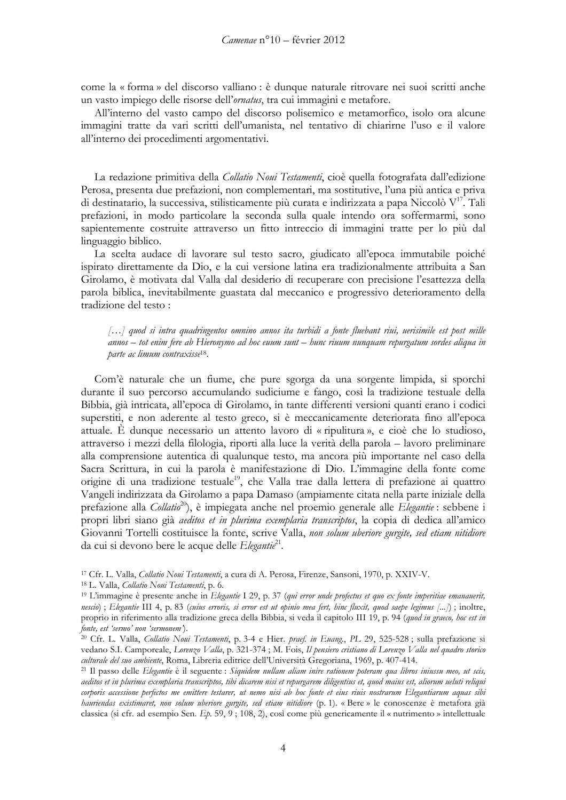come la « forma » del discorso valliano : è dunque naturale ritrovare nei suoi scritti anche un vasto impiego delle risorse dell'ornatus, tra cui immagini e metafore.

All'interno del vasto campo del discorso polisemico e metamorfico, isolo ora alcune immagini tratte da vari scritti dell'umanista, nel tentativo di chiarirne l'uso e il valore all'interno dei procedimenti argomentativi.

La redazione primitiva della Collatio Noui Testamenti, cioè quella fotografata dall'edizione Perosa, presenta due prefazioni, non complementari, ma sostitutive, l'una più antica e priva di destinatario, la successiva, stilisticamente più curata e indirizzata a papa Niccolò V<sup>17</sup>. Tali prefazioni, in modo particolare la seconda sulla quale intendo ora soffermarmi, sono sapientemente costruite attraverso un fitto intreccio di immagini tratte per lo più dal linguaggio biblico.

La scelta audace di lavorare sul testo sacro, giudicato all'epoca immutabile poiché ispirato direttamente da Dio, e la cui versione latina era tradizionalmente attribuita a San Girolamo, è motivata dal Valla dal desiderio di recuperare con precisione l'esattezza della parola biblica, inevitabilmente guastata dal meccanico e progressivo deterioramento della tradizione del testo:

[...] quod si intra quadringentos omnino annos ita turbidi a fonte fluebant riui, uerisimile est post mille annos - tot enim fere ab Hieronymo ad hoc euum sunt - hunc riuum nunquam repurgatum sordes aliqua in parte ac limum contraxisse<sup>18</sup>.

Com'è naturale che un fiume, che pure sgorga da una sorgente limpida, si sporchi durante il suo percorso accumulando sudiciume e fango, così la tradizione testuale della Bibbia, già intricata, all'epoca di Girolamo, in tante differenti versioni quanti erano i codici superstiti, e non aderente al testo greco, si è meccanicamente deteriorata fino all'epoca attuale. È dunque necessario un attento lavoro di « ripulitura », e cioè che lo studioso, attraverso i mezzi della filologia, riporti alla luce la verità della parola – lavoro preliminare alla comprensione autentica di qualunque testo, ma ancora più importante nel caso della Sacra Scrittura, in cui la parola è manifestazione di Dio. L'immagine della fonte come origine di una tradizione testuale<sup>19</sup>, che Valla trae dalla lettera di prefazione ai quattro Vangeli indirizzata da Girolamo a papa Damaso (ampiamente citata nella parte iniziale della prefazione alla *Collatio*<sup>20</sup>), è impiegata anche nel proemio generale alle *Elegantie*: sebbene i propri libri siano già *aeditos et in plurima exemplaria transcriptos*, la copia di dedica all'amico Giovanni Tortelli costituisce la fonte, scrive Valla, non solum uberiore gurgite, sed etiam nitidiore da cui si devono bere le acque delle Elegantie<sup>21</sup>.

<sup>17</sup> Cfr. L. Valla, *Collatio Noui Testamenti*, a cura di A. Perosa, Firenze, Sansoni, 1970, p. XXIV-V.

<sup>&</sup>lt;sup>18</sup> L. Valla, Collatio Noui Testamenti, p. 6.

<sup>&</sup>lt;sup>19</sup> L'immagine è presente anche in Elegantie I 29, p. 37 (qui error unde profectus et quo ex fonte imperitiae emanauerit, nescio); Elegantie III 4, p. 83 (cuius erroris, si error est ut opinio mea fert, hinc fluxit, quod saepe legimus [...]); inoltre, proprio in riferimento alla tradizione greca della Bibbia, si veda il capitolo III 19, p. 94 (quod in graeco, hoc est in fonte, est 'sermo' non 'sermonem').

<sup>&</sup>lt;sup>20</sup> Cfr. L. Valla, *Collatio Noui Testamenti*, p. 3-4 e Hier. *praef. in Euang.*, PL 29, 525-528; sulla prefazione si vedano S.I. Camporeale, Lorenzo Valla, p. 321-374; M. Fois, Il pensiero cristiano di Lorenzo Valla nel quadro storico culturale del suo ambiente, Roma, Libreria editrice dell'Università Gregoriana, 1969, p. 407-414.

<sup>&</sup>lt;sup>21</sup> Il passo delle Elegantie è il seguente : Siquidem nullam aliam inire rationem poteram qua libros iniussu meo, ut scis, aeditos et in plurima exemplaria transcriptos, tibi dicarem nisi et repurgarem diligentius et, quod maius est, aliorum ueluti reliqui corporis accessione perfectos me emittere testarer, ut nemo nisi ab hoc fonte et eius riuis nostrarum Elegantiarum aquas sibi hauriendas existimaret, non solum uberiore gurgite, sed etiam nitidiore (p. 1). «Bere » le conoscenze è metafora già classica (si cfr. ad esempio Sen. Ep. 59, 9; 108, 2), così come più genericamente il « nutrimento » intellettuale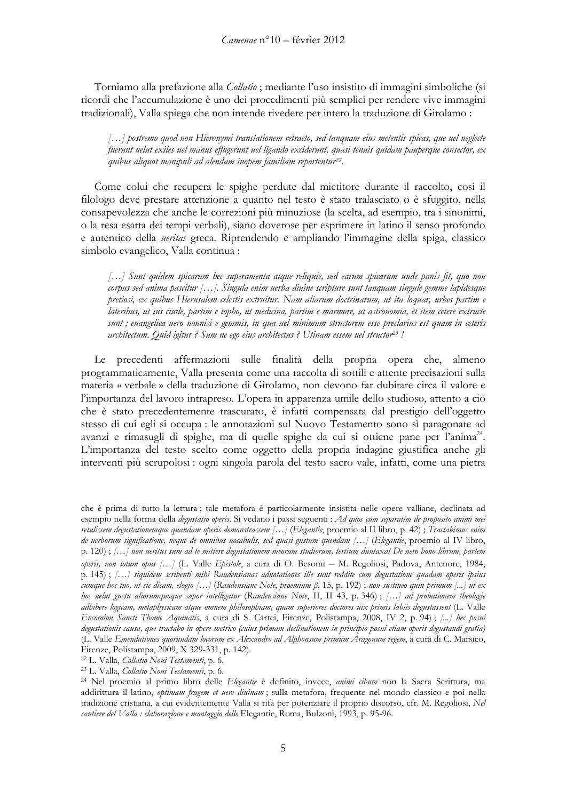Torniamo alla prefazione alla Collatio; mediante l'uso insistito di immagini simboliche (si ricordi che l'accumulazione è uno dei procedimenti più semplici per rendere vive immagini tradizionali), Valla spiega che non intende rivedere per intero la traduzione di Girolamo :

[...] postremo quod non Hieronymi translationem retracto, sed tanquam eius metentis spicas, que uel neglecte fuerunt uelut exiles uel manus effugerunt uel ligando exciderunt, quasi tenuis quidam pauperque consector, ex quibus aliquot manipuli ad alendam inopem familiam reportentur<sup>22</sup>.

Come colui che recupera le spighe perdute dal mietitore durante il raccolto, così il filologo deve prestare attenzione a quanto nel testo è stato tralasciato o è sfuggito, nella consapevolezza che anche le correzioni più minuziose (la scelta, ad esempio, tra i sinonimi, o la resa esatta dei tempi verbali), siano doverose per esprimere in latino il senso profondo e autentico della *ueritas* greca. Riprendendo e ampliando l'immagine della spiga, classico simbolo evangelico, Valla continua :

[...] Sunt quidem spicarum hec superamenta atque reliquie, sed earum spicarum unde panis fit, quo non corpus sed anima pascitur [...]. Singula enim uerba diuine scripture sunt tanquam singule gemme lapidesque pretiosi, ex quibus Hierusalem celestis extruitur. Nam aliarum doctrinarum, ut ita loquar, urbes partim e lateribus, ut ius ciuile, partim e topho, ut medicina, partim e marmore, ut astronomia, et item cetere extructe sunt; euangelica uero nonnisi e gemmis, in qua uel minimum structorem esse preclarius est quam in ceteris architectum. Quid igitur ? Sum ne ego eius architectus ? Utinam essem uel structor<sup>23</sup> !

Le precedenti affermazioni sulle finalità della propria opera che, almeno programmaticamente, Valla presenta come una raccolta di sottili e attente precisazioni sulla materia « verbale » della traduzione di Girolamo, non devono far dubitare circa il valore e l'importanza del lavoro intrapreso. L'opera in apparenza umile dello studioso, attento a ciò che è stato precedentemente trascurato, è infatti compensata dal prestigio dell'oggetto stesso di cui egli si occupa : le annotazioni sul Nuovo Testamento sono sì paragonate ad avanzi e rimasugli di spighe, ma di quelle spighe da cui si ottiene pane per l'anima<sup>24</sup>. L'importanza del testo scelto come oggetto della propria indagine giustifica anche gli interventi più scrupolosi : ogni singola parola del testo sacro vale, infatti, come una pietra

che è prima di tutto la lettura; tale metafora è particolarmente insistita nelle opere valliane, declinata ad esempio nella forma della degustatio operis. Si vedano i passi seguenti : Ad quos cum separatim de proposito animi mei retulissem degustationemque quandam operis demonstrassem [...] (Elegantie, proemio al II libro, p. 42); Tractabimus enim de uerborum significatione, neque de omnibus uocabulis, sed quasi gustum quendam [...] (Elegantie, proemio al IV libro, p. 120) ; [...] non ueritus sum ad te mittere degustationem meorum studiorum, tertium duntaxat De uero bono librum, partem operis, non totum opus [...] (L. Valle Epistole, a cura di O. Besomi - M. Regoliosi, Padova, Antenore, 1984, p. 145); [...] siquidem scribenti mibi Raudensianas adnotationes ille sunt reddite cum degustatione quadam operis ipsius cumque hoc tuo, ut sic dicam, elogio [...] (Raudensiane Note, proemium  $\beta$ , 15, p. 192); non sustineo quin primum [...] ut ex hoc uelut gustu aliorumquoque sapor intelligatur (Raudensiane Note, II, II 43, p. 346); [...] ad probationem theologie adhibere logicam, metaphysicam atque omnem philosophiam, quam superiores doctores uix primis labiis degustassent (L. Valle Encomion Sancti Thome Aquinatis, a cura di S. Cartei, Firenze, Polistampa, 2008, IV 2, p. 94); [...] hec posui degustationis causa, que tractabo in opere metrico (cuius primam declinationem in principio posui etiam operis degustandi gratia) (L. Valle Emendationes quorundam locorum ex Alexandro ad Alphonsum primum Aragonum regem, a cura di C. Marsico, Firenze, Polistampa, 2009, X 329-331, p. 142).

<sup>&</sup>lt;sup>22</sup> L. Valla, Collatio Noui Testamenti, p. 6.

<sup>&</sup>lt;sup>23</sup> L. Valla, Collatio Noui Testamenti, p. 6.

<sup>&</sup>lt;sup>24</sup> Nel proemio al primo libro delle *Elegantie* è definito, invece, *animi cibum* non la Sacra Scrittura, ma addirittura il latino, *optimam frugem et uere diuinam*; sulla metafora, frequente nel mondo classico e poi nella tradizione cristiana, a cui evidentemente Valla si rifà per potenziare il proprio discorso, cfr. M. Regoliosi, Nel cantiere del Valla : elaborazione e montaggio delle Elegantie, Roma, Bulzoni, 1993, p. 95-96.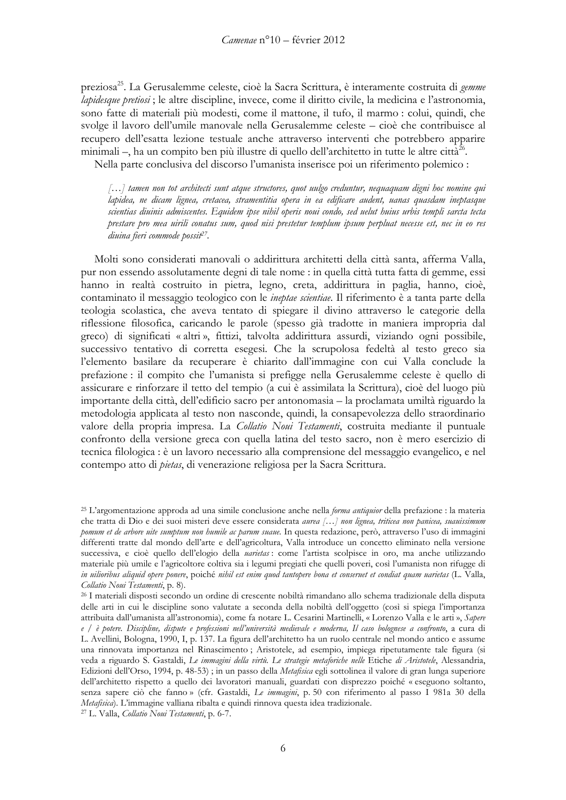preziosa<sup>25</sup>. La Gerusalemme celeste, cioè la Sacra Scrittura, è interamente costruita di gemme lapidesque pretiosi ; le altre discipline, invece, come il diritto civile, la medicina e l'astronomia, sono fatte di materiali più modesti, come il mattone, il tufo, il marmo : colui, quindi, che svolge il lavoro dell'umile manovale nella Gerusalemme celeste – cioè che contribuisce al recupero dell'esatta lezione testuale anche attraverso interventi che potrebbero apparire minimali –, ha un compito ben più illustre di quello dell'architetto in tutte le altre città  $26$ .

Nella parte conclusiva del discorso l'umanista inserisce poi un riferimento polemico :

[...] tamen non tot architecti sunt atque structores, quot uulgo creduntur, nequaquam digni hoc nomine qui lapidea, ne dicam lignea, cretacea, stramentitia opera in ea edificare audent, uanas quasdam ineptasque scientias diuinis admiscentes. Equidem ipse nihil operis noui condo, sed uelut huius urbis templi sarcta tecta prestare pro mea uirili conatus sum, quod nisi prestetur templum ipsum perpluat necesse est, nec in eo res diuina fieri commode possit<sup>27</sup>.

Molti sono considerati manovali o addirittura architetti della città santa, afferma Valla, pur non essendo assolutamente degni di tale nome : in quella città tutta fatta di gemme, essi hanno in realtà costruito in pietra, legno, creta, addirittura in paglia, hanno, cioè, contaminato il messaggio teologico con le *ineptae scientiae*. Il riferimento è a tanta parte della teologia scolastica, che aveva tentato di spiegare il divino attraverso le categorie della riflessione filosofica, caricando le parole (spesso già tradotte in maniera impropria dal greco) di significati « altri », fittizi, talvolta addirittura assurdi, viziando ogni possibile, successivo tentativo di corretta esegesi. Che la scrupolosa fedeltà al testo greco sia l'elemento basilare da recuperare è chiarito dall'immagine con cui Valla conclude la prefazione: il compito che l'umanista si prefigge nella Gerusalemme celeste è quello di assicurare e rinforzare il tetto del tempio (a cui è assimilata la Scrittura), cioè del luogo più importante della città, dell'edificio sacro per antonomasia – la proclamata umiltà riguardo la metodologia applicata al testo non nasconde, quindi, la consapevolezza dello straordinario valore della propria impresa. La Collatio Noui Testamenti, costruita mediante il puntuale confronto della versione greca con quella latina del testo sacro, non è mero esercizio di tecnica filologica : è un lavoro necessario alla comprensione del messaggio evangelico, e nel contempo atto di *pietas*, di venerazione religiosa per la Sacra Scrittura.

<sup>&</sup>lt;sup>25</sup> L'argomentazione approda ad una simile conclusione anche nella *forma antiquior* della prefazione : la materia che tratta di Dio e dei suoi misteri deve essere considerata aurea [...] non lignea, triticea non panicea, suauissimum pomum et de arbore uite sumptum non humile ac parum suaue. In questa redazione, però, attraverso l'uso di immagini differenti tratte dal mondo dell'arte e dell'agricoltura, Valla introduce un concetto eliminato nella versione successiva, e cioè quello dell'elogio della narietas: come l'artista scolpisce in oro, ma anche utilizzando materiale più umile e l'agricoltore coltiva sia i legumi pregiati che quelli poveri, così l'umanista non rifugge di in uilioribus aliquid opere ponere, poiché nibil est enim quod tantopere bona et conseruet et condiat quam uarietas (L. Valla, Collatio Noui Testamenti, p. 8).

<sup>26</sup> I materiali disposti secondo un ordine di crescente nobiltà rimandano allo schema tradizionale della disputa delle arti in cui le discipline sono valutate a seconda della nobiltà dell'oggetto (così si spiega l'importanza attribuita dall'umanista all'astronomia), come fa notare L. Cesarini Martinelli, « Lorenzo Valla e le arti », Sapere e / è potere. Discipline, dispute e professioni nell'università medievale e moderna, Il caso bolognese a confronto, a cura di L. Avellini, Bologna, 1990, I, p. 137. La figura dell'architetto ha un ruolo centrale nel mondo antico e assume una rinnovata importanza nel Rinascimento; Aristotele, ad esempio, impiega ripetutamente tale figura (si veda a riguardo S. Gastaldi, Le immagini della virtù. Le strategie metaforiche nelle Etiche di Aristotele, Alessandria, Edizioni dell'Orso, 1994, p. 48-53); in un passo della Metafisica egli sottolinea il valore di gran lunga superiore dell'architetto rispetto a quello dei lavoratori manuali, guardati con disprezzo poiché « eseguono soltanto, senza sapere ciò che fanno» (cfr. Gastaldi, Le immagini, p. 50 con riferimento al passo I 981a 30 della Metafisica). L'immagine valliana ribalta e quindi rinnova questa idea tradizionale.

<sup>&</sup>lt;sup>27</sup> L. Valla, *Collatio Noui Testamenti*, p. 6-7.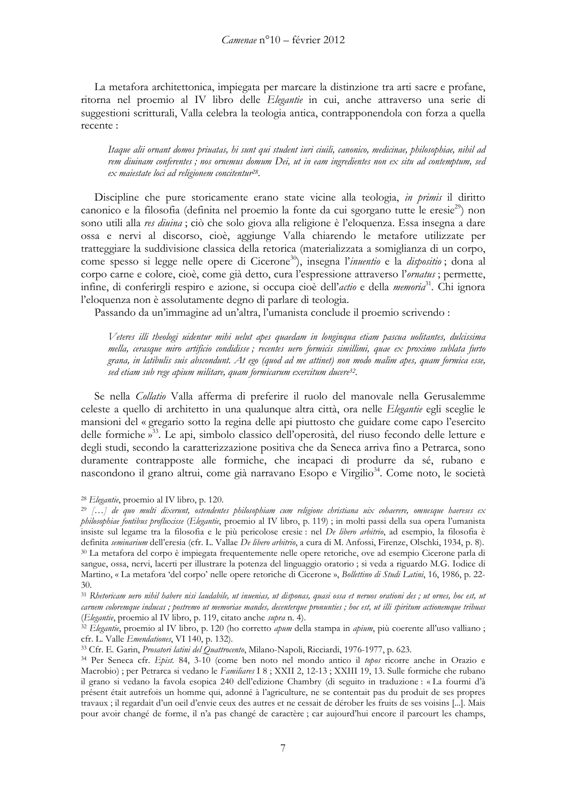La metafora architettonica, impiegata per marcare la distinzione tra arti sacre e profane, ritorna nel proemio al IV libro delle Elegantie in cui, anche attraverso una serie di suggestioni scritturali, Valla celebra la teologia antica, contrapponendola con forza a quella recente:

Itaque alii ornant domos priuatas, hi sunt qui student iuri ciuili, canonico, medicinae, philosophiae, nihil ad rem diuinam conferentes; nos ornemus domum Dei, ut in eam ingredientes non ex situ ad contemptum, sed ex maiestate loci ad religionem concitentur<sup>28</sup>.

Discipline che pure storicamente erano state vicine alla teologia, in primis il diritto canonico e la filosofia (definita nel proemio la fonte da cui sgorgano tutte le eresie<sup>29</sup>) non sono utili alla res dinina; ciò che solo giova alla religione è l'eloquenza. Essa insegna a dare ossa e nervi al discorso, cioè, aggiunge Valla chiarendo le metafore utilizzate per tratteggiare la suddivisione classica della retorica (materializzata a somiglianza di un corpo, come spesso si legge nelle opere di Cicerone<sup>30</sup>), insegna l'inventio e la dispositio; dona al corpo carne e colore, cioè, come già detto, cura l'espressione attraverso l'ornatus ; permette, infine, di conferirgli respiro e azione, si occupa cioè dell'actio e della memoria<sup>31</sup>. Chi ignora l'eloquenza non è assolutamente degno di parlare di teologia.

Passando da un'immagine ad un'altra, l'umanista conclude il proemio scrivendo :

Veteres illi theologi uidentur mihi uelut apes quaedam in longinqua etiam pascua uolitantes, dulcissima mella, cerasque miro artificio condidisse; recentes uero formicis simillimi, quae ex proximo sublata furto grana, in latibulis suis abscondunt. At ego (quod ad me attinet) non modo malim apes, quam formica esse, sed etiam sub rege apium militare, quam formicarum exercitum ducere<sup>32</sup>.

Se nella Collatio Valla afferma di preferire il ruolo del manovale nella Gerusalemme celeste a quello di architetto in una qualunque altra città, ora nelle Elegantie egli sceglie le mansioni del « gregario sotto la regina delle api piuttosto che guidare come capo l'esercito delle formiche »<sup>33</sup>. Le api, simbolo classico dell'operosità, del riuso fecondo delle letture e degli studi, secondo la caratterizzazione positiva che da Seneca arriva fino a Petrarca, sono duramente contrapposte alle formiche, che incapaci di produrre da sé, rubano e nascondono il grano altrui, come già narravano Esopo e Virgilio<sup>34</sup>. Come noto, le società

31 Rhetoricam uero nihil habere nisi laudabile, ut inuenias, ut disponas, quasi ossa et neruos orationi des ; ut ornes, hoc est, ut carnem coloremque inducas ; postremo ut memoriae mandes, decenterque pronunties ; hoc est, ut illi spiritum actionemque tribuas (Elegantie, proemio al IV libro, p. 119, citato anche supra n. 4).

32 Elegantie, proemio al IV libro, p. 120 (ho corretto apum della stampa in apium, più coerente all'uso valliano; cfr. L. Valle Emendationes, VI 140, p. 132).

<sup>33</sup> Cfr. E. Garin, *Prosatori latini del Quattrocento*, Milano-Napoli, Ricciardi, 1976-1977, p. 623.

<sup>&</sup>lt;sup>28</sup> Elegantie, proemio al IV libro, p. 120.

<sup>29 [...]</sup> de quo multi dixerunt, ostendentes philosophiam cum religione christiana uix cohaerere, omnesque haereses ex philosophiae fontibus profluxisse (Elegantie, proemio al IV libro, p. 119); in molti passi della sua opera l'umanista insiste sul legame tra la filosofia e le più pericolose eresie : nel De libero arbitrio, ad esempio, la filosofia è definita seminarium dell'eresia (cfr. L. Vallae De libero arbitrio, a cura di M. Anfossi, Firenze, Olschki, 1934, p. 8). 30 La metafora del corpo è impiegata frequentemente nelle opere retoriche, ove ad esempio Cicerone parla di sangue, ossa, nervi, lacerti per illustrare la potenza del linguaggio oratorio; si veda a riguardo M.G. Iodice di Martino, « La metafora 'del corpo' nelle opere retoriche di Cicerone », Bollettino di Studi Latini, 16, 1986, p. 22-30.

<sup>&</sup>lt;sup>34</sup> Per Seneca cfr. *Epist.* 84, 3-10 (come ben noto nel mondo antico il topos ricorre anche in Orazio e Macrobio) ; per Petrarca si vedano le Familiares I 8 ; XXII 2, 12-13 ; XXIII 19, 13. Sulle formiche che rubano il grano si vedano la favola esopica 240 dell'edizione Chambry (di seguito in traduzione : « La fourmi d'à présent était autrefois un homme qui, adonné à l'agriculture, ne se contentait pas du produit de ses propres travaux ; il regardait d'un oeil d'envie ceux des autres et ne cessait de dérober les fruits de ses voisins [...]. Mais pour avoir changé de forme, il n'a pas changé de caractère ; car aujourd'hui encore il parcourt les champs,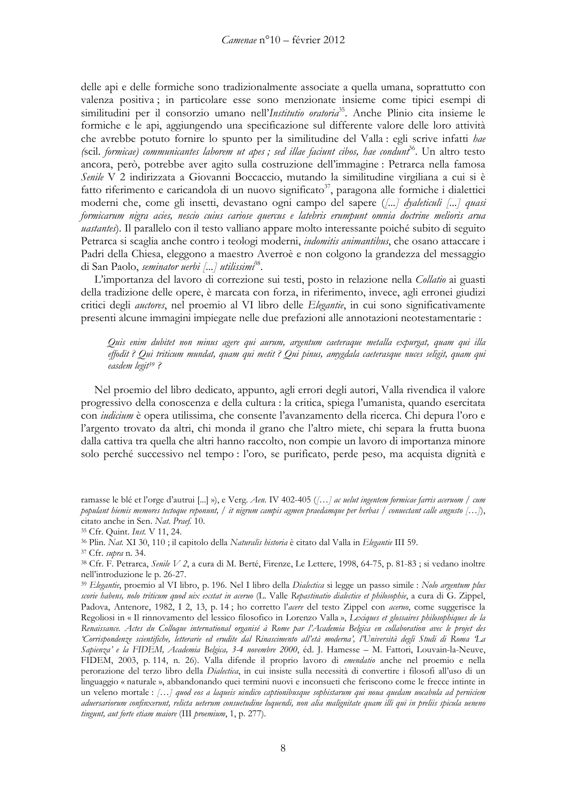delle api e delle formiche sono tradizionalmente associate a quella umana, soprattutto con valenza positiva; in particolare esse sono menzionate insieme come tipici esempi di similitudini per il consorzio umano nell'Institutio oratoria<sup>35</sup>. Anche Plinio cita insieme le formiche e le api, aggiungendo una specificazione sul differente valore delle loro attività che avrebbe potuto fornire lo spunto per la similitudine del Valla : egli scrive infatti hae (scil. formicae) communicantes laborem ut apes; sed illae faciunt cibos, hae condunt<sup>36</sup>. Un altro testo ancora, però, potrebbe aver agito sulla costruzione dell'immagine : Petrarca nella famosa Senile V 2 indirizzata a Giovanni Boccaccio, mutando la similitudine virgiliana a cui si è fatto riferimento e caricandola di un nuovo significato<sup>37</sup>, paragona alle formiche i dialettici moderni che, come gli insetti, devastano ogni campo del sapere ([...] dyaleticuli [...] quasi formicarum nigra acies, nescio cuius cariose quercus e latebris erumpunt omnia doctrine melioris arua *uastantes*). Il parallelo con il testo valliano appare molto interessante poiché subito di seguito Petrarca si scaglia anche contro i teologi moderni, *indomitis animantibus*, che osano attaccare i Padri della Chiesa, eleggono a maestro Averroè e non colgono la grandezza del messaggio di San Paolo, seminator uerbi [...] utilissimi<sup>38</sup>.

L'importanza del lavoro di correzione sui testi, posto in relazione nella Collatio ai guasti della tradizione delle opere, è marcata con forza, in riferimento, invece, agli erronei giudizi critici degli auctores, nel proemio al VI libro delle Elegantie, in cui sono significativamente presenti alcune immagini impiegate nelle due prefazioni alle annotazioni neotestamentarie :

Quis enim dubitet non minus agere qui aurum, argentum caeteraque metalla expurgat, quam qui illa effodit? Oui triticum mundat, quam qui metit? Oui pinus, amygdala caeterasque nuces seligit, quam qui easdem legit<sup>39</sup>?

Nel proemio del libro dedicato, appunto, agli errori degli autori, Valla rivendica il valore progressivo della conoscenza e della cultura : la critica, spiega l'umanista, quando esercitata con *iudicium* è opera utilissima, che consente l'avanzamento della ricerca. Chi depura l'oro e l'argento trovato da altri, chi monda il grano che l'altro miete, chi separa la frutta buona dalla cattiva tra quella che altri hanno raccolto, non compie un lavoro di importanza minore solo perché successivo nel tempo: l'oro, se purificato, perde peso, ma acquista dignità e

36 Plin. Nat. XI 30, 110; il capitolo della Naturalis historia è citato dal Valla in Elegantie III 59.

ramasse le blé et l'orge d'autrui [...] »), e Verg. Aen. IV 402-405 ([...] ac uelut ingentem formicae farris aceruom / cum populant hiemis memores tectoque reponunt, / it nigrum campis agmen praedamque per herbas / conuectant calle angusto  $(...),$ citato anche in Sen. Nat. Praef. 10.

<sup>&</sup>lt;sup>35</sup> Cfr. Quint. *Inst*. V 11, 24.

<sup>&</sup>lt;sup>37</sup> Cfr. supra n. 34.

<sup>38</sup> Cfr. F. Petrarca, Senile V 2, a cura di M. Berté, Firenze, Le Lettere, 1998, 64-75, p. 81-83; si vedano inoltre nell'introduzione le p. 26-27.

<sup>&</sup>lt;sup>39</sup> Elegantie, proemio al VI libro, p. 196. Nel I libro della Dialectica si legge un passo simile : Nolo argentum plus scorie habens, nolo triticum quod uix exstat in aceruo (L. Valle Repastinatio dialectice et philosophie, a cura di G. Zippel, Padova, Antenore, 1982, I 2, 13, p. 14; ho corretto l'acere del testo Zippel con aceruo, come suggerisce la Regoliosi in « Il rinnovamento del lessico filosofico in Lorenzo Valla », Lexiques et glossaires philosophiques de la Renaissance. Actes du Colloque international organisé à Rome par l'Academia Belgica en collaboration avec le projet des 'Corrispondenze scientifiche, letterarie ed erudite dal Rinascimento all'età moderna', l'Università degli Studi di Roma La Sapienza' e la FIDEM, Academia Belgica, 3-4 novembre 2000, éd. J. Hamesse - M. Fattori, Louvain-la-Neuve, FIDEM, 2003, p. 114, n. 26). Valla difende il proprio lavoro di *emendatio* anche nel proemio e nella perorazione del terzo libro della Dialectica, in cui insiste sulla necessità di convertire i filosofi all'uso di un linguaggio « naturale », abbandonando quei termini nuovi e inconsueti che feriscono come le frecce intinte in un veleno mortale : [...] quod eos a laqueis uindico captionibusque sophistarum qui noua quedam uocabula ad perniciem aduersariorum confinxerunt, relicta ueterum consuetudine loquendi, non alia malignitate quam illi qui in preliis spicula ueneno tingunt, aut forte etiam maiore (III proemium, 1, p. 277).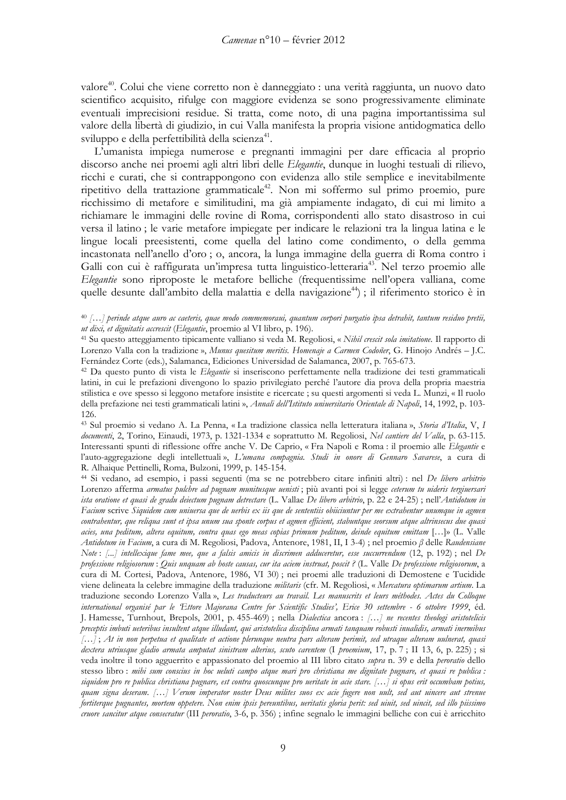valore<sup>40</sup>. Colui che viene corretto non è danneggiato : una verità raggiunta, un nuovo dato scientifico acquisito, rifulge con maggiore evidenza se sono progressivamente eliminate eventuali imprecisioni residue. Si tratta, come noto, di una pagina importantissima sul valore della libertà di giudizio, in cui Valla manifesta la propria visione antidogmatica dello sviluppo e della perfettibilità della scienza<sup>41</sup>.

L'umanista impiega numerose e pregnanti immagini per dare efficacia al proprio discorso anche nei proemi agli altri libri delle Elegantie, dunque in luoghi testuali di rilievo, ricchi e curati, che si contrappongono con evidenza allo stile semplice e inevitabilmente ripetitivo della trattazione grammaticale<sup>42</sup>. Non mi soffermo sul primo proemio, pure ricchissimo di metafore e similitudini, ma già ampiamente indagato, di cui mi limito a richiamare le immagini delle rovine di Roma, corrispondenti allo stato disastroso in cui versa il latino; le varie metafore impiegate per indicare le relazioni tra la lingua latina e le lingue locali preesistenti, come quella del latino come condimento, o della gemma incastonata nell'anello d'oro; o, ancora, la lunga immagine della guerra di Roma contro i Galli con cui è raffigurata un'impresa tutta linguistico-letteraria<sup>43</sup>. Nel terzo proemio alle Elegantie sono riproposte le metafore belliche (frequentissime nell'opera valliana, come quelle desunte dall'ambito della malattia e della navigazione<sup>44</sup>); il riferimento storico è in

43 Sul proemio si vedano A. La Penna, « La tradizione classica nella letteratura italiana », Storia d'Italia, V, I documenti, 2, Torino, Einaudi, 1973, p. 1321-1334 e soprattutto M. Regoliosi, Nel cantiere del Valla, p. 63-115. Interessanti spunti di riflessione offre anche V. De Caprio, « Fra Napoli e Roma : il proemio alle Elegantie e l'auto-aggregazione degli intellettuali», L'umana compagnia. Studi in onore di Gennaro Savarese, a cura di R. Alhaique Pettinelli, Roma, Bulzoni, 1999, p. 145-154.

44 Si vedano, ad esempio, i passi seguenti (ma se ne potrebbero citare infiniti altri) : nel De libero arbitrio Lorenzo afferma armatus pulchre ad pugnam munitusque uenisti ; più avanti poi si legge ceterum tu uideris tergiuersari ista oratione et quasi de gradu deiectum pugnam detrectare (L. Vallae De libero arbitrio, p. 22 e 24-25) ; nell'Antidotum in Facium scrive Siquidem cum uniuersa que de uerbis ex iis que de sententiis obiiciuntur per me extrabentur unumque in agmen contrabentur, que reliqua sunt et ipsa unum sua sponte corpus et agmen efficient, stabuntque seorsum atque altrinsecus due quasi acies, una peditum, altera equitum, contra quas ego meas copias primum peditum, deinde equitum emittam [...]» (L. Valle Antidotum in Facium, a cura di M. Regoliosi, Padova, Antenore, 1981, II, I 3-4) ; nel proemio  $\beta$  delle Raudensiane Note: [...] intellexique fame mee, que a falsis amicis in discrimen adduceretur, esse succurrendum (12, p. 192); nel De professione religiosorum : Quis unquam ab hoste causas, cur ita aciem instruat, poscit ? (L. Valle De professione religiosorum, a cura di M. Cortesi, Padova, Antenore, 1986, VI 30) ; nei proemi alle traduzioni di Demostene e Tucidide viene delineata la celebre immagine della traduzione militaris (cfr. M. Regoliosi, « Mercatura optimarum artium. La traduzione secondo Lorenzo Valla », Les traducteurs au travail. Les manuscrits et leurs méthodes. Actes du Colloque international organisé par le Ettore Majorana Centre for Scientific Studies', Erice 30 settembre - 6 ottobre 1999, éd. J. Hamesse, Turnhout, Brepols, 2001, p. 455-469); nella Dialectica ancora: [...] ne recentes theologi aristotelicis preceptis imbuti ueteribus insultent atque illudant, qui aristotelica disciplina armati tanquam robusti inualidis, armati inermibus [...]; At in non perpetua et qualitate et actione plerunque neutra pars alteram perimit, sed utraque alteram uulnerat, quasi dextera utriusque gladio armata amputat sinistram alterius, scuto carentem (I proemium, 17, p. 7; II 13, 6, p. 225); si veda inoltre il tono agguerrito e appassionato del proemio al III libro citato supra n. 39 e della peroratio dello stesso libro: mibi sum conscius in hoc ueluti campo atque mari pro christiana me dignitate pugnare, et quasi re publica: siquidem pro re publica christiana pugnare, est contra quoscunque pro ueritate in acie stare. [...] si opus erit occumbam potius, quam signa deseram. [...] Verum imperator noster Deus milites suos ex acie fugere non uult, sed aut uincere aut strenue fortiterque pugnantes, mortem oppetere. Non enim ipsis pereuntibus, ueritatis gloria perit: sed uiuit, sed uincit, sed illo piissimo cruore sancitur atque consecratur (III peroratio, 3-6, p. 356); infine segnalo le immagini belliche con cui è arricchito

<sup>40 [...]</sup> perinde atque auro ac caeteris, quae modo commemoraui, quantum corpori purgatio ipsa detrabit, tantum residuo pretii, ut dixi, et dignitatis accrescit (Elegantie, proemio al VI libro, p. 196).

<sup>&</sup>lt;sup>41</sup> Su questo atteggiamento tipicamente valliano si veda M. Regoliosi, « Nihil crescit sola imitatione. Il rapporto di Lorenzo Valla con la tradizione », Munus quesitum meritis. Homenaje a Carmen Codoñer, G. Hinojo Andrés - J.C. Fernández Corte (eds.), Salamanca, Ediciones Universidad de Salamanca, 2007, p. 765-673.

<sup>42</sup> Da questo punto di vista le Elegantie si inseriscono perfettamente nella tradizione dei testi grammaticali latini, in cui le prefazioni divengono lo spazio privilegiato perché l'autore dia prova della propria maestria stilistica e ove spesso si leggono metafore insistite e ricercate ; su questi argomenti si veda L. Munzi, « Il ruolo della prefazione nei testi grammaticali latini », Annali dell'Istituto universitario Orientale di Napoli, 14, 1992, p. 103-126.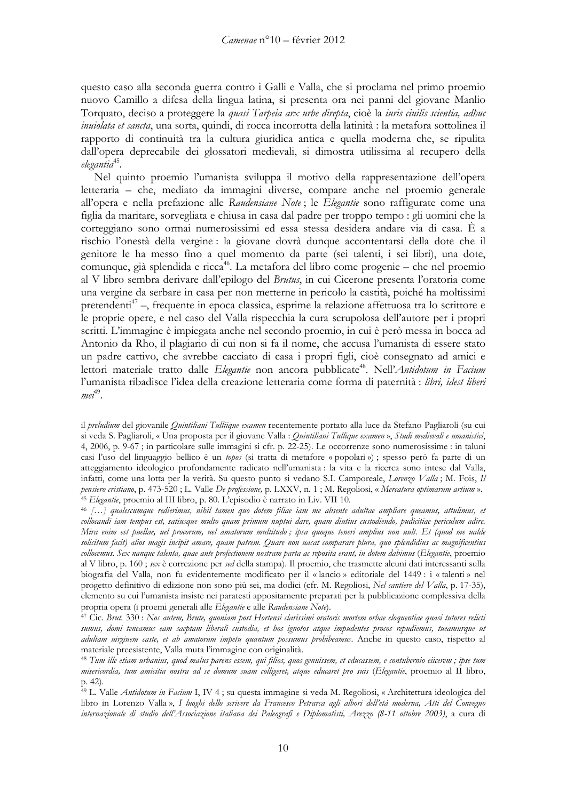questo caso alla seconda guerra contro i Galli e Valla, che si proclama nel primo proemio nuovo Camillo a difesa della lingua latina, si presenta ora nei panni del giovane Manlio Torquato, deciso a proteggere la quasi Tarpeia arx urbe direpta, cioè la iuris ciuilis scientia, adhuc *inuiolata et sancta*, una sorta, quindi, di rocca incorrotta della latinità : la metafora sottolinea il rapporto di continuità tra la cultura giuridica antica e quella moderna che, se ripulita dall'opera deprecabile dei glossatori medievali, si dimostra utilissima al recupero della  $e$ legantia $45$ .

Nel quinto proemio l'umanista sviluppa il motivo della rappresentazione dell'opera letteraria – che, mediato da immagini diverse, compare anche nel proemio generale all'opera e nella prefazione alle Raudensiane Note; le Elegantie sono raffigurate come una figlia da maritare, sorvegliata e chiusa in casa dal padre per troppo tempo : gli uomini che la corteggiano sono ormai numerosissimi ed essa stessa desidera andare via di casa. È a rischio l'onestà della vergine : la giovane dovrà dunque accontentarsi della dote che il genitore le ha messo fino a quel momento da parte (sei talenti, i sei libri), una dote, comunque, già splendida e ricca<sup>46</sup>. La metafora del libro come progenie – che nel proemio al V libro sembra derivare dall'epilogo del Brutus, in cui Cicerone presenta l'oratoria come una vergine da serbare in casa per non metterne in pericolo la castità, poiché ha moltissimi pretendenti<sup>47</sup> –, frequente in epoca classica, esprime la relazione affettuosa tra lo scrittore e le proprie opere, e nel caso del Valla rispecchia la cura scrupolosa dell'autore per i propri scritti. L'immagine è impiegata anche nel secondo proemio, in cui è però messa in bocca ad Antonio da Rho, il plagiario di cui non si fa il nome, che accusa l'umanista di essere stato un padre cattivo, che avrebbe cacciato di casa i propri figli, cioè consegnato ad amici e lettori materiale tratto dalle Elegantie non ancora pubblicate<sup>48</sup>. Nell'Antidotum in Facium l'umanista ribadisce l'idea della creazione letteraria come forma di paternità : libri, idest liberi  $me^{49}$ .

il preludium del giovanile Quintiliani Tulliique examen recentemente portato alla luce da Stefano Pagliaroli (su cui si veda S. Pagliaroli, « Una proposta per il giovane Valla : Quintiliani Tullique examen », Studi medievali e umanistici, 4, 2006, p. 9-67; in particolare sulle immagini si cfr. p. 22-25). Le occorrenze sono numerosissime : in taluni casi l'uso del linguaggio bellico è un topos (si tratta di metafore « popolari ») ; spesso però fa parte di un atteggiamento ideologico profondamente radicato nell'umanista : la vita e la ricerca sono intese dal Valla, infatti, come una lotta per la verità. Su questo punto si vedano S.I. Camporeale, Lorenzo Valla; M. Fois, Il pensiero cristiano, p. 473-520; L. Valle De professione, p. LXXV, n. 1; M. Regoliosi, « Mercatura optimarum artium ». <sup>45</sup> Elegantie, proemio al III libro, p. 80. L'episodio è narrato in Liv. VII 10.

46 [...] qualescumque redierimus, nibil tamen quo dotem filiae iam me absente adultae ampliare queamus, attulimus, et collocandi iam tempus est, satiusque multo quam primum nuptui dare, quam diutius custodiendo, pudicitiae periculum adire. Mira enim est puellae, uel procorum, uel amatorum multitudo; ipsa quoque teneri amplius non uult. Et (quod me ualde solicitum facit) alios magis incipit amare, quam patrem. Quare non uacat comparare plura, quo splendidius ac magnificentius collocemus. Sex nanque talenta, quae ante profectionem nostram parta ac reposita erant, in dotem dabimus (Elegantie, proemio al V libro, p. 160 ; sex è correzione per sed della stampa). Il proemio, che trasmette alcuni dati interessanti sulla biografia del Valla, non fu evidentemente modificato per il «lancio » editoriale del 1449 : i « talenti » nel progetto definitivo di edizione non sono più sei, ma dodici (cfr. M. Regoliosi, Nel cantiere del Valla, p. 17-35), elemento su cui l'umanista insiste nei paratesti appositamente preparati per la pubblicazione complessiva della propria opera (i proemi generali alle Elegantie e alle Raudensiane Note).

 $47$  Cic. Brut. 330 : Nos autem, Brute, quoniam post Hortensi clarissimi oratoris mortem orbae eloquentiae quasi tutores relicti sumus, domi teneamus eam saeptam liberali custodia, et hos ignotos atque impudentes procos repudiemus, tueamurque ut adultam uirginem caste, et ab amatorum impetu quantum possumus prohibeamus. Anche in questo caso, rispetto al materiale preesistente, Valla muta l'immagine con originalità.

<sup>48</sup> Tum ille etiam urbanius, quod malus parens essem, qui filios, quos genuissem, et educassem, e contubernio eiicerem; ipse tum misericordia, tum amicitia nostra ad se domum suam colligeret, atque educaret pro suis (Elegantie, proemio al II libro, p. 42).

<sup>49</sup> L. Valle Antidotum in Facium I, IV 4; su questa immagine si veda M. Regoliosi, « Architettura ideologica del libro in Lorenzo Valla», I luoghi dello scrivere da Francesco Petrarca agli albori dell'età moderna, Atti del Convegno internazionale di studio dell'Associazione italiana dei Paleografi e Diplomatisti, Arezzo (8-11 ottobre 2003), a cura di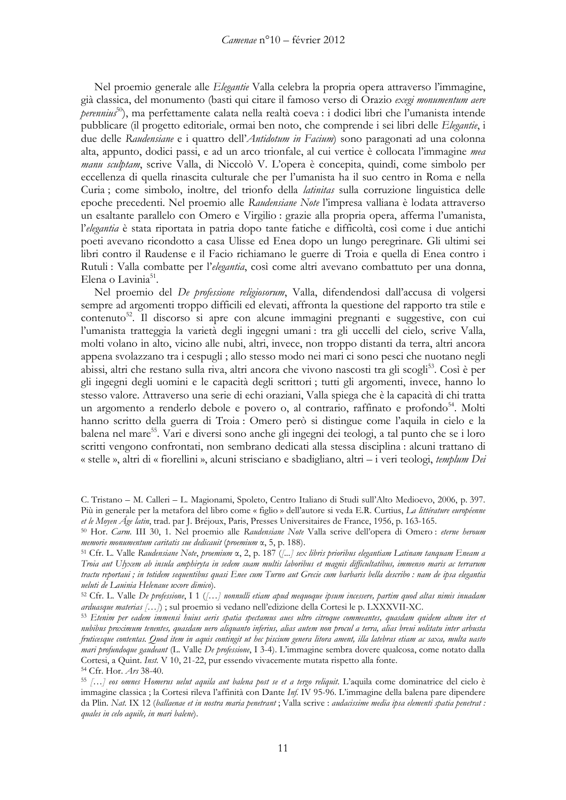Nel proemio generale alle Elegantie Valla celebra la propria opera attraverso l'immagine, già classica, del monumento (basti qui citare il famoso verso di Orazio exegi monumentum aere perennius<sup>50</sup>), ma perfettamente calata nella realtà coeva : i dodici libri che l'umanista intende pubblicare (il progetto editoriale, ormai ben noto, che comprende i sei libri delle Elegantie, i due delle Raudensiane e i quattro dell'Antidotum in Facium) sono paragonati ad una colonna alta, appunto, dodici passi, e ad un arco trionfale, al cui vertice è collocata l'immagine mea manu sculptam, scrive Valla, di Niccolò V. L'opera è concepita, quindi, come simbolo per eccellenza di quella rinascita culturale che per l'umanista ha il suo centro in Roma e nella Curia; come simbolo, inoltre, del trionfo della *latinitas* sulla corruzione linguistica delle epoche precedenti. Nel proemio alle Raudensiane Note l'impresa valliana è lodata attraverso un esaltante parallelo con Omero e Virgilio : grazie alla propria opera, afferma l'umanista, l'elegantia è stata riportata in patria dopo tante fatiche e difficoltà, così come i due antichi poeti avevano ricondotto a casa Ulisse ed Enea dopo un lungo peregrinare. Gli ultimi sei libri contro il Raudense e il Facio richiamano le guerre di Troia e quella di Enea contro i Rutuli : Valla combatte per l'elegantia, così come altri avevano combattuto per una donna. Elena o Lavinia<sup>51</sup>.

Nel proemio del De professione religiosorum, Valla, difendendosi dall'accusa di volgersi sempre ad argomenti troppo difficili ed elevati, affronta la questione del rapporto tra stile e contenuto<sup>52</sup>. Il discorso si apre con alcune immagini pregnanti e suggestive, con cui l'umanista tratteggia la varietà degli ingegni umani : tra gli uccelli del cielo, scrive Valla, molti volano in alto, vicino alle nubi, altri, invece, non troppo distanti da terra, altri ancora appena svolazzano tra i cespugli; allo stesso modo nei mari ci sono pesci che nuotano negli abissi, altri che restano sulla riva, altri ancora che vivono nascosti tra gli scogli<sup>53</sup>. Così è per gli ingegni degli uomini e le capacità degli scrittori; tutti gli argomenti, invece, hanno lo stesso valore. Attraverso una serie di echi oraziani, Valla spiega che è la capacità di chi tratta un argomento a renderlo debole e povero o, al contrario, raffinato e profondo<sup>54</sup>. Molti hanno scritto della guerra di Troia: Omero però si distingue come l'aquila in cielo e la balena nel mare<sup>55</sup>. Vari e diversi sono anche gli ingegni dei teologi, a tal punto che se i loro scritti vengono confrontati, non sembrano dedicati alla stessa disciplina : alcuni trattano di « stelle », altri di « fiorellini », alcuni strisciano e sbadigliano, altri – i veri teologi, templum Dei

C. Tristano - M. Calleri - L. Magionami, Spoleto, Centro Italiano di Studi sull'Alto Medioevo, 2006, p. 397. Più in generale per la metafora del libro come « figlio » dell'autore si veda E.R. Curtius, La littérature européenne et le Moyen Age latin, trad. par J. Bréjoux, Paris, Presses Universitaires de France, 1956, p. 163-165.

<sup>50</sup> Hor. Carm. III 30, 1. Nel proemio alle Raudensiane Note Valla scrive dell'opera di Omero : eterne heroum memorie monumentum caritatis sue dedicauit (proemium  $\alpha$ , 5, p. 188).

<sup>&</sup>lt;sup>51</sup> Cfr. L. Valle Raudensiane Note, proemium x, 2, p. 187 ([...] sex libris prioribus elegantiam Latinam tanquam Eneam a Troia aut Ulyxem ab insula amphiryta in sedem suam multis laboribus et magnis difficultatibus, immenso maris ac terrarum tractu reportani; in totidem sequentibus quasi Enee cum Turno aut Grecie cum barbaris bella describo: nam de ipsa elegantia ueluti de Lauinia Helenaue uxore dimico).

<sup>&</sup>lt;sup>52</sup> Cfr. L. Valle De professione, I 1 ([...] nonnulli etiam apud mequoque ipsum incessere, partim quod altas nimis inuadam arduasque materias [...]); sul proemio si vedano nell'edizione della Cortesi le p. LXXXVII-XC.

<sup>53</sup> Etenim per eadem immensi huius aeris spatia spectamus aues ultro citroque commeantes, quasdam quidem altum iter et nubibus proximum tenentes, quasdam uero aliquanto inferius, alias autem non procul a terra, alias breui uolitatu inter arbusta fruticesque contentas. Quod item in aquis contingit ut hec piscium genera litora ament, illa latebras etiam ac saxa, multa uasto mari profundoque gaudeant (L. Valle De professione, I 3-4). L'immagine sembra dovere qualcosa, come notato dalla Cortesi, a Quint. Inst. V 10, 21-22, pur essendo vivacemente mutata rispetto alla fonte.

<sup>54</sup> Cfr. Hor. Ars 38-40.

<sup>55 [...]</sup> eos omnes Homerus uelut aquila aut balena post se et a tergo reliquit. L'aquila come dominatrice del cielo è immagine classica ; la Cortesi rileva l'affinità con Dante Inf. IV 95-96. L'immagine della balena pare dipendere da Plin. Nat. IX 12 (ballaenae et in nostra maria penetrant; Valla scrive : audacissime media ipsa elementi spatia penetrat : quales in celo aquile, in mari balene).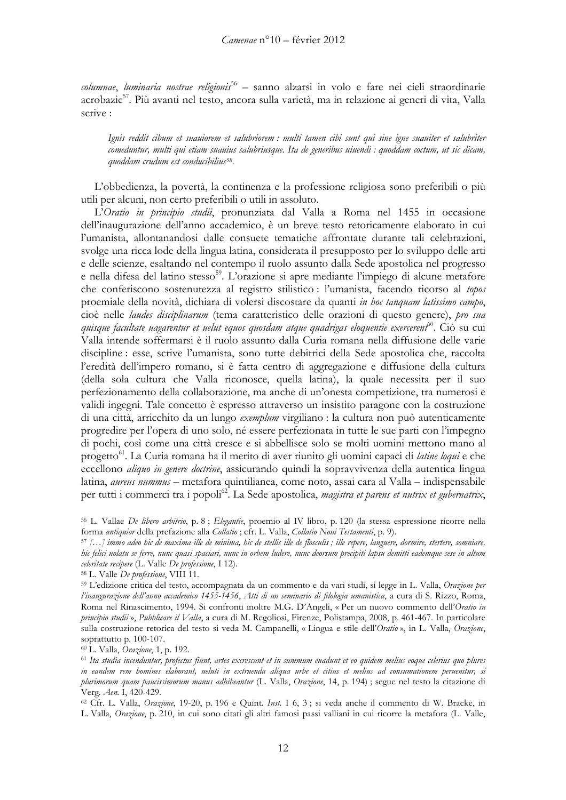columnae, luminaria nostrae religionis<sup>56</sup> – sanno alzarsi in volo e fare nei cieli straordinarie acrobazie<sup>57</sup>. Più avanti nel testo, ancora sulla varietà, ma in relazione ai generi di vita, Valla scrive:

Ignis reddit cibum et suauiorem et salubriorem : multi tamen cibi sunt qui sine igne suauiter et salubriter comeduntur, multi qui etiam suauius salubriusque. Ita de generibus uiuendi : quoddam coctum, ut sic dicam, quoddam crudum est conducibilius<sup>58</sup>.

L'obbedienza, la povertà, la continenza e la professione religiosa sono preferibili o più utili per alcuni, non certo preferibili o utili in assoluto.

L'Oratio in principio studii, pronunziata dal Valla a Roma nel 1455 in occasione dell'inaugurazione dell'anno accademico, è un breve testo retoricamente elaborato in cui l'umanista, allontanandosi dalle consuete tematiche affrontate durante tali celebrazioni, svolge una ricca lode della lingua latina, considerata il presupposto per lo sviluppo delle arti e delle scienze, esaltando nel contempo il ruolo assunto dalla Sede apostolica nel progresso e nella difesa del latino stesso<sup>59</sup>. L'orazione si apre mediante l'impiego di alcune metafore che conferiscono sostenutezza al registro stilistico: l'umanista, facendo ricorso al topos proemiale della novità, dichiara di volersi discostare da quanti in hoc tanquam latissimo campo, cioè nelle *laudes disciplinarum* (tema caratteristico delle orazioni di questo genere), *pro sua* quisque facultate uggarentur et uelut equos quosdam atque quadrigas eloquentie exercerent<sup>60</sup>. Ciò su cui Valla intende soffermarsi è il ruolo assunto dalla Curia romana nella diffusione delle varie discipline : esse, scrive l'umanista, sono tutte debitrici della Sede apostolica che, raccolta l'eredità dell'impero romano, si è fatta centro di aggregazione e diffusione della cultura (della sola cultura che Valla riconosce, quella latina), la quale necessita per il suo perfezionamento della collaborazione, ma anche di un'onesta competizione, tra numerosi e validi ingegni. Tale concetto è espresso attraverso un insistito paragone con la costruzione di una città, arricchito da un lungo exemplum virgiliano : la cultura non può autenticamente progredire per l'opera di uno solo, né essere perfezionata in tutte le sue parti con l'impegno di pochi, così come una città cresce e si abbellisce solo se molti uomini mettono mano al progetto<sup>61</sup>. La Curia romana ha il merito di aver riunito gli uomini capaci di latine loqui e che eccellono *aliquo in genere doctrine*, assicurando quindi la sopravvivenza della autentica lingua latina, *aureus nummus* – metafora quintilianea, come noto, assai cara al Valla – indispensabile per tutti i commerci tra i popoli<sup>62</sup>. La Sede apostolica, *magistra et parens et nutrix et gubernatrix*,

56 L. Vallae De libero arbitrio, p. 8; Elegantie, proemio al IV libro, p. 120 (la stessa espressione ricorre nella forma antiquior della prefazione alla Collatio; cfr. L. Valla, Collatio Noui Testamenti, p. 9).

 $57$  [...] immo adeo hic de maxima ille de minima, hic de stellis ille de flosculis; ille repere, languere, dormire, stertere, somniare, hic felici uolatu se ferre, nunc quasi spaciari, nunc in orbem ludere, nunc deorsum precipiti lapsu demitti eademque sese in altum celeritate recipere (L. Valle De professione, I 12).

59 L'edizione critica del testo, accompagnata da un commento e da vari studi, si legge in L. Valla, Orazione per l'inaugurazione dell'anno accademico 1455-1456, Atti di un seminario di filologia umanistica, a cura di S. Rizzo, Roma, Roma nel Rinascimento, 1994. Si confronti inoltre M.G. D'Angeli, « Per un nuovo commento dell'Oratio in principio studii», Pubblicare il Valla, a cura di M. Regoliosi, Firenze, Polistampa, 2008, p. 461-467. In particolare sulla costruzione retorica del testo si veda M. Campanelli, « Lingua e stile dell'Oratio », in L. Valla, Orazione, soprattutto p. 100-107.

<sup>60</sup> L. Valla, Orazione, 1, p. 192.

<sup>61</sup> Ita studia incenduntur, profectus fiunt, artes excrescunt et in summum euadunt et eo quidem melius eoque celerius quo plures in eandem rem homines elaborant, ueluti in extruenda aliqua urbe et citius et melius ad consumationem peruenitur, si plurimorum quam paucissimorum manus adhibeantur (L. Valla, Orazione, 14, p. 194); segue nel testo la citazione di Verg. Aen. I, 420-429.

62 Cfr. L. Valla, Orazione, 19-20, p. 196 e Quint. Inst. I 6, 3; si veda anche il commento di W. Bracke, in L. Valla, Orazione, p. 210, in cui sono citati gli altri famosi passi valliani in cui ricorre la metafora (L. Valle,

<sup>&</sup>lt;sup>58</sup> L. Valle De professione, VIII 11.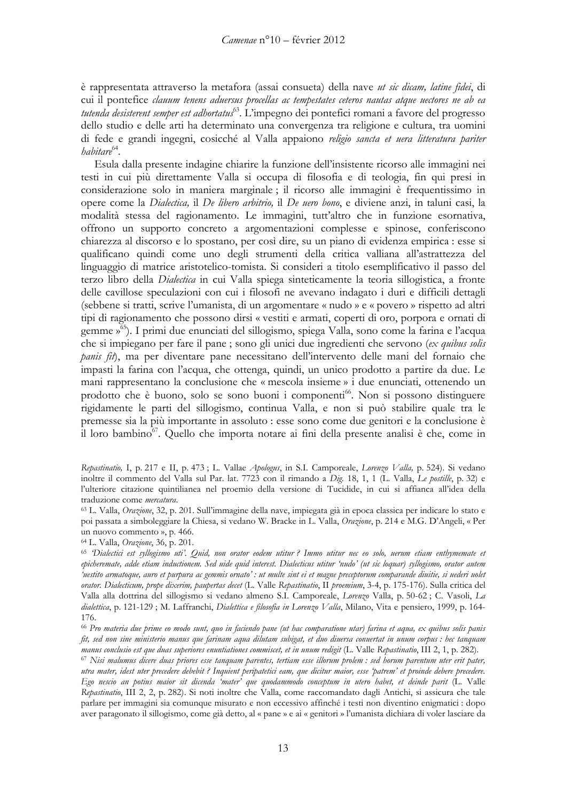è rappresentata attraverso la metafora (assai consueta) della nave *ut sic dicam, latine fidei*, di cui il pontefice clauum tenens aduersus procellas ac tempestates ceteros nautas atque uectores ne ab ea tutenda desisterent semper est adhortatus<sup>63</sup>. L'impegno dei pontefici romani a favore del progresso dello studio e delle arti ha determinato una convergenza tra religione e cultura, tra uomini di fede e grandi ingegni, cosicché al Valla appaiono religio sancta et uera litteratura pariter *habitare*<sup>64</sup>.

Esula dalla presente indagine chiarire la funzione dell'insistente ricorso alle immagini nei testi in cui più direttamente Valla si occupa di filosofia e di teologia, fin qui presi in considerazione solo in maniera marginale; il ricorso alle immagini è frequentissimo in opere come la Dialectica, il De libero arbitrio, il De nero bono, e diviene anzi, in taluni casi, la modalità stessa del ragionamento. Le immagini, tutt'altro che in funzione esornativa, offrono un supporto concreto a argomentazioni complesse e spinose, conferiscono chiarezza al discorso e lo spostano, per così dire, su un piano di evidenza empirica : esse si qualificano quindi come uno degli strumenti della critica valliana all'astrattezza del linguaggio di matrice aristotelico-tomista. Si consideri a titolo esemplificativo il passo del terzo libro della *Dialectica* in cui Valla spiega sinteticamente la teoria sillogistica, a fronte delle cavillose speculazioni con cui i filosofi ne avevano indagato i duri e difficili dettagli (sebbene si tratti, scrive l'umanista, di un argomentare « nudo » e « povero » rispetto ad altri tipi di ragionamento che possono dirsi « vestiti e armati, coperti di oro, porpora e ornati di gemme »<sup>65</sup>). I primi due enunciati del sillogismo, spiega Valla, sono come la farina e l'acqua che si impiegano per fare il pane; sono gli unici due ingredienti che servono (ex quibus solis *panis fit*), ma per diventare pane necessitano dell'intervento delle mani del fornaio che impasti la farina con l'acqua, che ottenga, quindi, un unico prodotto a partire da due. Le mani rappresentano la conclusione che « mescola insieme » i due enunciati, ottenendo un prodotto che è buono, solo se sono buoni i componenti<sup>66</sup>. Non si possono distinguere rigidamente le parti del sillogismo, continua Valla, e non si può stabilire quale tra le premesse sia la più importante in assoluto : esse sono come due genitori e la conclusione è il loro bambino<sup>67</sup>. Quello che importa notare ai fini della presente analisi è che, come in

Repastinatio, I, p. 217 e II, p. 473; L. Vallae Apologus, in S.I. Camporeale, Lorenzo Valla, p. 524). Si vedano inoltre il commento del Valla sul Par. lat. 7723 con il rimando a Dig. 18, 1, 1 (L. Valla, Le postille, p. 32) e l'ulteriore citazione quintilianea nel proemio della versione di Tucidide, in cui si affianca all'idea della traduzione come mercatura.

63 L. Valla, Orazione, 32, p. 201. Sull'immagine della nave, impiegata già in epoca classica per indicare lo stato e poi passata a simboleggiare la Chiesa, si vedano W. Bracke in L. Valla, Orazione, p. 214 e M.G. D'Angeli, « Per un nuovo commento », p. 466.

64 L. Valla, Orazione, 36, p. 201.

65 Dialectici est syllogismo uti'. Quid, non orator eodem utitur? Immo utitur nec eo solo, uerum etiam enthymemate et epicheremate, adde etiam inductionem. Sed uide quid interest. Dialecticus utitur 'nudo' (ut sic loquar) syllogismo, orator autem 'uestito armatoque, auro et purpura ac gemmis ornato': ut multe sint ei et magne preceptorum comparande diuitie, si uederi uolet orator. Dialecticum, prope dixerim, paupertas decet (L. Valle Repastinatio, II proemium, 3-4, p. 175-176). Sulla critica del Valla alla dottrina del sillogismo si vedano almeno S.I. Camporeale, Lorenzo Valla, p. 50-62 ; C. Vasoli, La dialettica, p. 121-129; M. Laffranchi, Dialettica e filosofia in Lorenzo Valla, Milano, Vita e pensiero, 1999, p. 164-176.

66 Pro materia due prime eo modo sunt, quo in faciendo pane (ut hac comparatione utar) farina et aqua, ex quibus solis panis fit, sed non sine ministerio manus que farinam aqua dilutam subigat, et duo diuersa conuertat in unum corpus : hec tanquam manus conclusio est que duas superiores enuntiationes commiscet, et in unum redigit (L. Valle Repastinatio, III 2, 1, p. 282).

<sup>67</sup> Nisi malumus dicere duas priores esse tanquam parentes, tertiam esse illorum prolem : sed horum parentum uter erit pater, utra mater, idest uter precedere debebit ? Inquient peripatetici eam, que dicitur maior, esse 'patrem' et proinde debere precedere. Ego nescio an potius maior sit dicenda 'mater' que quodammodo conceptum in utero habet, et deinde parit (L. Valle Repastinatio, III 2, 2, p. 282). Si noti inoltre che Valla, come raccomandato dagli Antichi, si assicura che tale parlare per immagini sia comunque misurato e non eccessivo affinché i testi non diventino enigmatici : dopo aver paragonato il sillogismo, come già detto, al « pane » e ai « genitori » l'umanista dichiara di voler lasciare da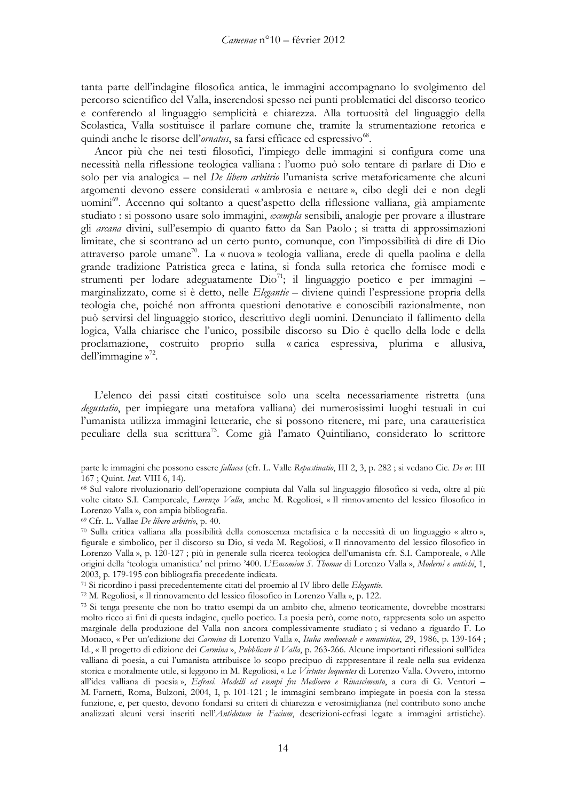tanta parte dell'indagine filosofica antica, le immagini accompagnano lo svolgimento del percorso scientifico del Valla, inserendosi spesso nei punti problematici del discorso teorico e conferendo al linguaggio semplicità e chiarezza. Alla tortuosità del linguaggio della Scolastica, Valla sostituisce il parlare comune che, tramite la strumentazione retorica e quindi anche le risorse dell'ornatus, sa farsi efficace ed espressivo<sup>68</sup>.

Ancor più che nei testi filosofici, l'impiego delle immagini si configura come una necessità nella riflessione teologica valliana : l'uomo può solo tentare di parlare di Dio e solo per via analogica – nel *De libero arbitrio* l'umanista scrive metaforicamente che alcuni argomenti devono essere considerati « ambrosia e nettare », cibo degli dei e non degli uomini<sup>69</sup>. Accenno qui soltanto a quest'aspetto della riflessione valliana, già ampiamente studiato: si possono usare solo immagini, *exembla* sensibili, analogie per provare a illustrare gli arcana divini, sull'esempio di quanto fatto da San Paolo; si tratta di approssimazioni limitate, che si scontrano ad un certo punto, comunque, con l'impossibilità di dire di Dio attraverso parole umane<sup>70</sup>. La « nuova » teologia valliana, erede di quella paolina e della grande tradizione Patristica greca e latina, si fonda sulla retorica che fornisce modi e strumenti per lodare adeguatamente  $\rho$ io<sup>71</sup>; il linguaggio poetico e per immagini – marginalizzato, come si è detto, nelle Elegantie – diviene quindi l'espressione propria della teologia che, poiché non affronta questioni denotative e conoscibili razionalmente, non può servirsi del linguaggio storico, descrittivo degli uomini. Denunciato il fallimento della logica, Valla chiarisce che l'unico, possibile discorso su Dio è quello della lode e della proclamazione, costruito proprio sulla «carica espressiva, plurima e allusiva, dell'immagine  $v^{72}$ .

L'elenco dei passi citati costituisce solo una scelta necessariamente ristretta (una degustatio, per impiegare una metafora valliana) dei numerosissimi luoghi testuali in cui l'umanista utilizza immagini letterarie, che si possono ritenere, mi pare, una caratteristica peculiare della sua scrittura<sup>73</sup>. Come già l'amato Quintiliano, considerato lo scrittore

71 Si ricordino i passi precedentemente citati del proemio al IV libro delle Elegantie.

72 M. Regoliosi, « Il rinnovamento del lessico filosofico in Lorenzo Valla », p. 122.

parte le immagini che possono essere fallaces (cfr. L. Valle Repastinatio, III 2, 3, p. 282 ; si vedano Cic. De or. III 167; Quint. Inst. VIII 6, 14).

<sup>&</sup>lt;sup>68</sup> Sul valore rivoluzionario dell'operazione compiuta dal Valla sul linguaggio filosofico si veda, oltre al più volte citato S.I. Camporeale, Lorenzo Valla, anche M. Regoliosi, « Il rinnovamento del lessico filosofico in Lorenzo Valla », con ampia bibliografia.

<sup>&</sup>lt;sup>69</sup> Cfr. L. Vallae De libero arbitrio, p. 40.

<sup>70</sup> Sulla critica valliana alla possibilità della conoscenza metafisica e la necessità di un linguaggio « altro », figurale e simbolico, per il discorso su Dio, si veda M. Regoliosi, « Il rinnovamento del lessico filosofico in Lorenzo Valla », p. 120-127; più in generale sulla ricerca teologica dell'umanista cfr. S.I. Camporeale, « Alle origini della 'teologia umanistica' nel primo '400. L'Encomion S. Thomae di Lorenzo Valla », Moderni e antichi, 1, 2003, p. 179-195 con bibliografia precedente indicata.

<sup>73</sup> Si tenga presente che non ho tratto esempi da un ambito che, almeno teoricamente, dovrebbe mostrarsi molto ricco ai fini di questa indagine, quello poetico. La poesia però, come noto, rappresenta solo un aspetto marginale della produzione del Valla non ancora complessivamente studiato; si vedano a riguardo F. Lo Monaco, « Per un'edizione dei Carmina di Lorenzo Valla », Italia medioevale e umanistica, 29, 1986, p. 139-164; Id., « Il progetto di edizione dei Carmina », Pubblicare il Valla, p. 263-266. Alcune importanti riflessioni sull'idea valliana di poesia, a cui l'umanista attribuisce lo scopo precipuo di rappresentare il reale nella sua evidenza storica e moralmente utile, si leggono in M. Regoliosi, « Le Virtutes loquentes di Lorenzo Valla. Ovvero, intorno all'idea valliana di poesia», Ecfrasi. Modelli ed esempi fra Medioevo e Rinascimento, a cura di G. Venturi -M. Farnetti, Roma, Bulzoni, 2004, I, p. 101-121; le immagini sembrano impiegate in poesia con la stessa funzione, e, per questo, devono fondarsi su criteri di chiarezza e verosimiglianza (nel contributo sono anche analizzati alcuni versi inseriti nell'Antidotum in Facium, descrizioni-ecfrasi legate a immagini artistiche).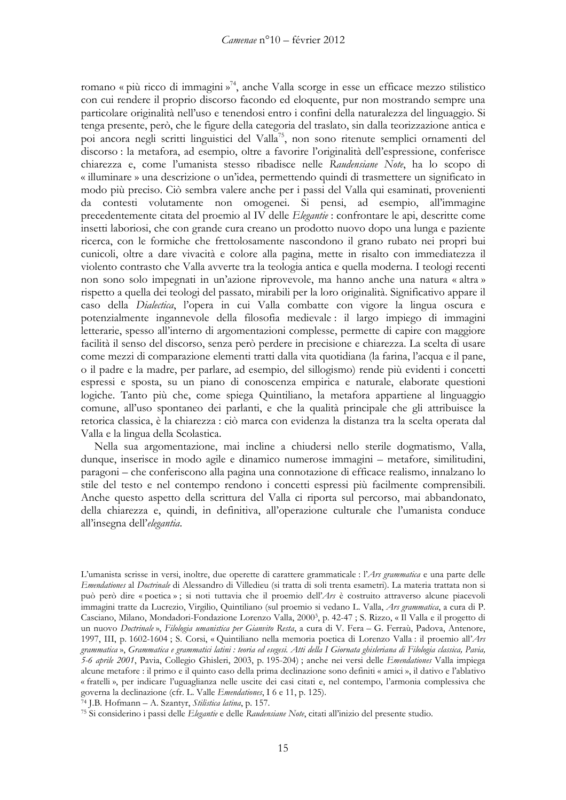romano « più ricco di immagini »<sup>74</sup>, anche Valla scorge in esse un efficace mezzo stilistico con cui rendere il proprio discorso facondo ed eloquente, pur non mostrando sempre una particolare originalità nell'uso e tenendosi entro i confini della naturalezza del linguaggio. Si tenga presente, però, che le figure della categoria del traslato, sin dalla teorizzazione antica e poi ancora negli scritti linguistici del Valla<sup>75</sup>, non sono ritenute semplici ornamenti del discorso: la metafora, ad esempio, oltre a favorire l'originalità dell'espressione, conferisce chiarezza e, come l'umanista stesso ribadisce nelle Raudensiane Note, ha lo scopo di « illuminare » una descrizione o un'idea, permettendo quindi di trasmettere un significato in modo più preciso. Ciò sembra valere anche per i passi del Valla qui esaminati, provenienti da contesti volutamente non omogenei. Si pensi, ad esempio, all'immagine precedentemente citata del proemio al IV delle Elegantie : confrontare le api, descritte come insetti laboriosi, che con grande cura creano un prodotto nuovo dopo una lunga e paziente ricerca, con le formiche che frettolosamente nascondono il grano rubato nei propri bui cunicoli, oltre a dare vivacità e colore alla pagina, mette in risalto con immediatezza il violento contrasto che Valla avverte tra la teologia antica e quella moderna. I teologi recenti non sono solo impegnati in un'azione riprovevole, ma hanno anche una natura « altra » rispetto a quella dei teologi del passato, mirabili per la loro originalità. Significativo appare il caso della Dialectica, l'opera in cui Valla combatte con vigore la lingua oscura e potenzialmente ingannevole della filosofia medievale: il largo impiego di immagini letterarie, spesso all'interno di argomentazioni complesse, permette di capire con maggiore facilità il senso del discorso, senza però perdere in precisione e chiarezza. La scelta di usare come mezzi di comparazione elementi tratti dalla vita quotidiana (la farina, l'acqua e il pane, o il padre e la madre, per parlare, ad esempio, del sillogismo) rende più evidenti i concetti espressi e sposta, su un piano di conoscenza empirica e naturale, elaborate questioni logiche. Tanto più che, come spiega Quintiliano, la metafora appartiene al linguaggio comune, all'uso spontaneo dei parlanti, e che la qualità principale che gli attribuisce la retorica classica, è la chiarezza : ciò marca con evidenza la distanza tra la scelta operata dal Valla e la lingua della Scolastica.

Nella sua argomentazione, mai incline a chiudersi nello sterile dogmatismo, Valla, dunque, inserisce in modo agile e dinamico numerose immagini - metafore, similitudini, paragoni – che conferiscono alla pagina una connotazione di efficace realismo, innalzano lo stile del testo e nel contempo rendono i concetti espressi più facilmente comprensibili. Anche questo aspetto della scrittura del Valla ci riporta sul percorso, mai abbandonato, della chiarezza e, quindi, in definitiva, all'operazione culturale che l'umanista conduce all'insegna dell'elegantia.

<sup>74</sup> J.B. Hofmann – A. Szantyr, Stilistica latina, p. 157.

L'umanista scrisse in versi, inoltre, due operette di carattere grammaticale : l'Ars grammatica e una parte delle Emendationes al Doctrinale di Alessandro di Villedieu (si tratta di soli trenta esametri). La materia trattata non si può però dire « poetica »; si noti tuttavia che il proemio dell'Ars è costruito attraverso alcune piacevoli immagini tratte da Lucrezio, Virgilio, Quintiliano (sul proemio si vedano L. Valla, Ars grammatica, a cura di P. Casciano, Milano, Mondadori-Fondazione Lorenzo Valla, 2000<sup>3</sup>, p. 42-47 ; S. Rizzo, « Il Valla e il progetto di un nuovo Doctrinale», Filologia umanistica per Gianvito Resta, a cura di V. Fera - G. Ferraù, Padova, Antenore, 1997, III, p. 1602-1604 ; S. Corsi, « Quintiliano nella memoria poetica di Lorenzo Valla : il proemio all'Ars grammatica», Grammatica e grammatici latini : teoria ed esegesi. Atti della I Giornata ghisleriana di Filologia classica, Pavia, 5-6 aprile 2001, Pavia, Collegio Ghisleri, 2003, p. 195-204); anche nei versi delle Emendationes Valla impiega alcune metafore : il primo e il quinto caso della prima declinazione sono definiti « amici », il dativo e l'ablativo « fratelli », per indicare l'uguaglianza nelle uscite dei casi citati e, nel contempo, l'armonia complessiva che governa la declinazione (cfr. L. Valle Emendationes, I 6 e 11, p. 125).

<sup>75</sup> Si considerino i passi delle Elegantie e delle Raudensiane Note, citati all'inizio del presente studio.